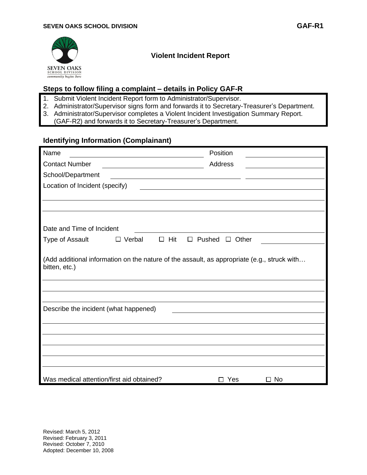

# **Violent Incident Report**

# **Steps to follow filing a complaint – details in Policy GAF-R**

- 1. Submit Violent Incident Report form to Administrator/Supervisor.
- 2. Administrator/Supervisor signs form and forwards it to Secretary-Treasurer's Department.
- 3. Administrator/Supervisor completes a Violent Incident Investigation Summary Report.
	- (GAF-R2) and forwards it to Secretary-Treasurer's Department.

# **Identifying Information (Complainant)**

| Name                                                                                                         |               |            | Position                                           |           |
|--------------------------------------------------------------------------------------------------------------|---------------|------------|----------------------------------------------------|-----------|
| <b>Contact Number</b>                                                                                        |               |            | Address                                            |           |
| School/Department                                                                                            |               |            | <u> 1980 - Johann Barbara, martxa amerikan per</u> |           |
| Location of Incident (specify)                                                                               |               |            |                                                    |           |
|                                                                                                              |               |            |                                                    |           |
|                                                                                                              |               |            |                                                    |           |
|                                                                                                              |               |            |                                                    |           |
| Date and Time of Incident                                                                                    |               |            |                                                    |           |
| Type of Assault                                                                                              | $\Box$ Verbal | $\Box$ Hit | $\Box$ Pushed $\Box$ Other                         |           |
| (Add additional information on the nature of the assault, as appropriate (e.g., struck with<br>bitten, etc.) |               |            |                                                    |           |
| Describe the incident (what happened)                                                                        |               |            |                                                    |           |
|                                                                                                              |               |            |                                                    |           |
|                                                                                                              |               |            |                                                    |           |
|                                                                                                              |               |            |                                                    |           |
| Was medical attention/first aid obtained?                                                                    |               |            | Yes                                                | $\Box$ No |